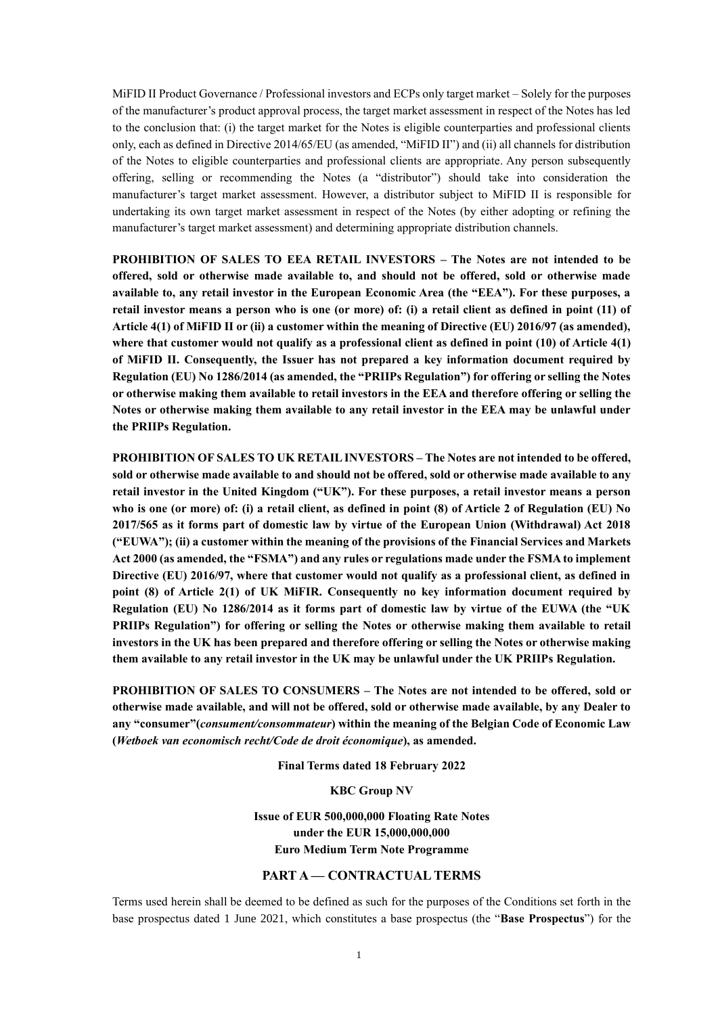MiFID II Product Governance / Professional investors and ECPs only target market – Solely for the purposes of the manufacturer's product approval process, the target market assessment in respect of the Notes has led to the conclusion that: (i) the target market for the Notes is eligible counterparties and professional clients only, each as defined in Directive 2014/65/EU (as amended, "MiFID II") and (ii) all channels for distribution of the Notes to eligible counterparties and professional clients are appropriate. Any person subsequently offering, selling or recommending the Notes (a "distributor") should take into consideration the manufacturer's target market assessment. However, a distributor subject to MiFID II is responsible for undertaking its own target market assessment in respect of the Notes (by either adopting or refining the manufacturer's target market assessment) and determining appropriate distribution channels.

**PROHIBITION OF SALES TO EEA RETAIL INVESTORS – The Notes are not intended to be offered, sold or otherwise made available to, and should not be offered, sold or otherwise made available to, any retail investor in the European Economic Area (the "EEA"). For these purposes, a retail investor means a person who is one (or more) of: (i) a retail client as defined in point (11) of Article 4(1) of MiFID II or (ii) a customer within the meaning of Directive (EU) 2016/97 (as amended), where that customer would not qualify as a professional client as defined in point (10) of Article 4(1) of MiFID II. Consequently, the Issuer has not prepared a key information document required by Regulation (EU) No 1286/2014 (as amended, the "PRIIPs Regulation") for offering or selling the Notes or otherwise making them available to retail investors in the EEA and therefore offering or selling the Notes or otherwise making them available to any retail investor in the EEA may be unlawful under the PRIIPs Regulation.**

**PROHIBITION OF SALES TO UK RETAIL INVESTORS – The Notes are not intended to be offered, sold or otherwise made available to and should not be offered, sold or otherwise made available to any retail investor in the United Kingdom ("UK"). For these purposes, a retail investor means a person who is one (or more) of: (i) a retail client, as defined in point (8) of Article 2 of Regulation (EU) No 2017/565 as it forms part of domestic law by virtue of the European Union (Withdrawal) Act 2018 ("EUWA"); (ii) a customer within the meaning of the provisions of the Financial Services and Markets Act 2000 (as amended, the "FSMA") and any rules or regulations made under the FSMA to implement Directive (EU) 2016/97, where that customer would not qualify as a professional client, as defined in point (8) of Article 2(1) of UK MiFIR. Consequently no key information document required by Regulation (EU) No 1286/2014 as it forms part of domestic law by virtue of the EUWA (the "UK PRIIPs Regulation") for offering or selling the Notes or otherwise making them available to retail investors in the UK has been prepared and therefore offering or selling the Notes or otherwise making them available to any retail investor in the UK may be unlawful under the UK PRIIPs Regulation.**

**PROHIBITION OF SALES TO CONSUMERS – The Notes are not intended to be offered, sold or otherwise made available, and will not be offered, sold or otherwise made available, by any Dealer to any "consumer"(***consument/consommateur***) within the meaning of the Belgian Code of Economic Law (***Wetboek van economisch recht/Code de droit économique***), as amended.**

**Final Terms dated 18 February 2022**

**KBC Group NV**

**Issue of EUR 500,000,000 Floating Rate Notes under the EUR 15,000,000,000 Euro Medium Term Note Programme**

#### **PART A — CONTRACTUAL TERMS**

Terms used herein shall be deemed to be defined as such for the purposes of the Conditions set forth in the base prospectus dated 1 June 2021, which constitutes a base prospectus (the "**Base Prospectus**") for the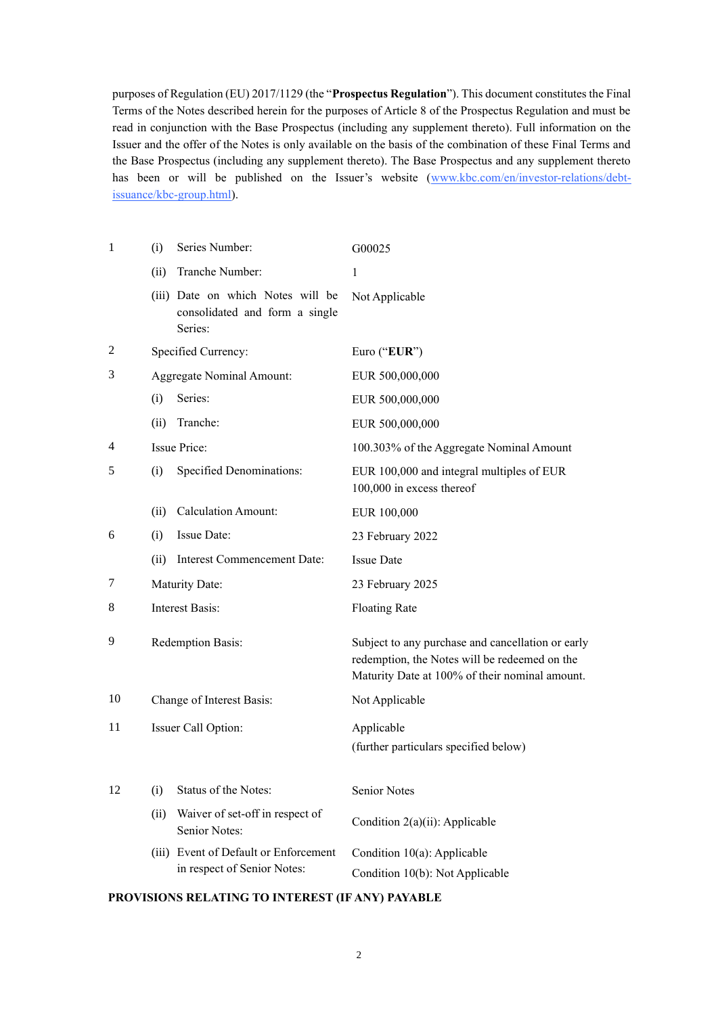purposes of Regulation (EU) 2017/1129 (the "**Prospectus Regulation**"). This document constitutes the Final Terms of the Notes described herein for the purposes of Article 8 of the Prospectus Regulation and must be read in conjunction with the Base Prospectus (including any supplement thereto). Full information on the Issuer and the offer of the Notes is only available on the basis of the combination of these Final Terms and the Base Prospectus (including any supplement thereto). The Base Prospectus and any supplement thereto has been or will be published on the Issuer's website (www.kbc.com/en/investor-relations/debtissuance/kbc-group.html).

| 1  | (i)                       | Series Number:                                                                 | G00025                                                                                                                                               |
|----|---------------------------|--------------------------------------------------------------------------------|------------------------------------------------------------------------------------------------------------------------------------------------------|
|    | (ii)                      | Tranche Number:                                                                | 1                                                                                                                                                    |
|    |                           | (iii) Date on which Notes will be<br>consolidated and form a single<br>Series: | Not Applicable                                                                                                                                       |
| 2  |                           | Specified Currency:                                                            | Euro ("EUR")                                                                                                                                         |
| 3  |                           | <b>Aggregate Nominal Amount:</b>                                               | EUR 500,000,000                                                                                                                                      |
|    | (i)                       | Series:                                                                        | EUR 500,000,000                                                                                                                                      |
|    | (ii)                      | Tranche:                                                                       | EUR 500,000,000                                                                                                                                      |
| 4  |                           | <b>Issue Price:</b>                                                            | 100.303% of the Aggregate Nominal Amount                                                                                                             |
| 5  | (i)                       | <b>Specified Denominations:</b>                                                | EUR 100,000 and integral multiples of EUR<br>100,000 in excess thereof                                                                               |
|    | (ii)                      | <b>Calculation Amount:</b>                                                     | EUR 100,000                                                                                                                                          |
| 6  | (i)                       | Issue Date:                                                                    | 23 February 2022                                                                                                                                     |
|    | (ii)                      | Interest Commencement Date:                                                    | <b>Issue Date</b>                                                                                                                                    |
| 7  |                           | Maturity Date:                                                                 | 23 February 2025                                                                                                                                     |
| 8  |                           | <b>Interest Basis:</b>                                                         | <b>Floating Rate</b>                                                                                                                                 |
| 9  | Redemption Basis:         |                                                                                | Subject to any purchase and cancellation or early<br>redemption, the Notes will be redeemed on the<br>Maturity Date at 100% of their nominal amount. |
| 10 | Change of Interest Basis: |                                                                                | Not Applicable                                                                                                                                       |
| 11 | Issuer Call Option:       |                                                                                | Applicable<br>(further particulars specified below)                                                                                                  |
| 12 | (i)                       | Status of the Notes:                                                           | <b>Senior Notes</b>                                                                                                                                  |
|    | (ii)                      | Waiver of set-off in respect of<br>Senior Notes:                               | Condition 2(a)(ii): Applicable                                                                                                                       |
|    |                           | (iii) Event of Default or Enforcement<br>in respect of Senior Notes:           | Condition 10(a): Applicable<br>Condition 10(b): Not Applicable                                                                                       |
|    |                           |                                                                                |                                                                                                                                                      |

#### **PROVISIONS RELATING TO INTEREST (IF ANY) PAYABLE**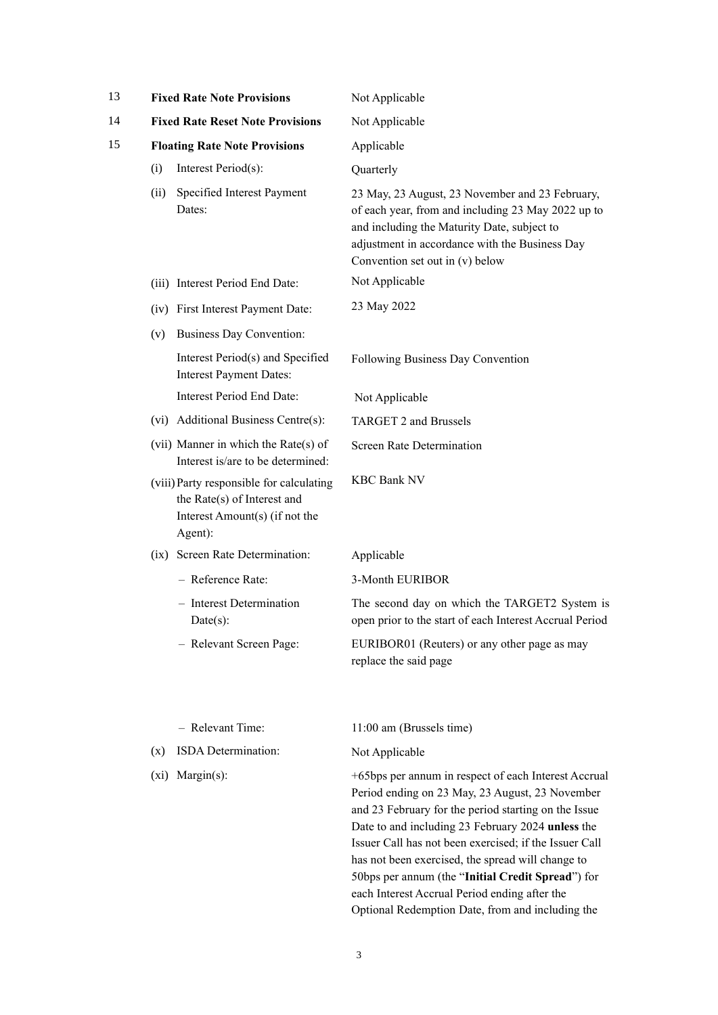| 13 |                | <b>Fixed Rate Note Provisions</b>                                                                                    | Not Applicable                                                                                                                                                                                                                            |  |
|----|----------------|----------------------------------------------------------------------------------------------------------------------|-------------------------------------------------------------------------------------------------------------------------------------------------------------------------------------------------------------------------------------------|--|
| 14 |                | <b>Fixed Rate Reset Note Provisions</b>                                                                              | Not Applicable                                                                                                                                                                                                                            |  |
| 15 |                | <b>Floating Rate Note Provisions</b>                                                                                 | Applicable                                                                                                                                                                                                                                |  |
|    | (i)            | Interest Period(s):                                                                                                  | Quarterly                                                                                                                                                                                                                                 |  |
|    | (ii)           | Specified Interest Payment<br>Dates:                                                                                 | 23 May, 23 August, 23 November and 23 February,<br>of each year, from and including 23 May 2022 up to<br>and including the Maturity Date, subject to<br>adjustment in accordance with the Business Day<br>Convention set out in (v) below |  |
|    |                | (iii) Interest Period End Date:                                                                                      | Not Applicable                                                                                                                                                                                                                            |  |
|    |                | (iv) First Interest Payment Date:                                                                                    | 23 May 2022                                                                                                                                                                                                                               |  |
|    | (v)            | <b>Business Day Convention:</b>                                                                                      |                                                                                                                                                                                                                                           |  |
|    |                | Interest Period(s) and Specified<br><b>Interest Payment Dates:</b>                                                   | Following Business Day Convention                                                                                                                                                                                                         |  |
|    |                | Interest Period End Date:                                                                                            | Not Applicable                                                                                                                                                                                                                            |  |
|    |                | (vi) Additional Business Centre(s):                                                                                  | <b>TARGET 2 and Brussels</b>                                                                                                                                                                                                              |  |
|    |                | (vii) Manner in which the Rate(s) of<br>Interest is/are to be determined:                                            | <b>Screen Rate Determination</b>                                                                                                                                                                                                          |  |
|    |                | (viii) Party responsible for calculating<br>the Rate(s) of Interest and<br>Interest Amount(s) (if not the<br>Agent): | <b>KBC Bank NV</b>                                                                                                                                                                                                                        |  |
|    |                | (ix) Screen Rate Determination:                                                                                      | Applicable                                                                                                                                                                                                                                |  |
|    |                | - Reference Rate:                                                                                                    | 3-Month EURIBOR                                                                                                                                                                                                                           |  |
|    |                | - Interest Determination<br>$Date(s)$ :                                                                              | The second day on which the TARGET2 System is<br>open prior to the start of each Interest Accrual Period                                                                                                                                  |  |
|    |                | - Relevant Screen Page:                                                                                              | EURIBOR01 (Reuters) or any other page as may<br>replace the said page                                                                                                                                                                     |  |
|    |                | - Relevant Time:                                                                                                     | 11:00 am (Brussels time)                                                                                                                                                                                                                  |  |
|    | $(\mathbf{x})$ | ISDA Determination:                                                                                                  | Not Applicable                                                                                                                                                                                                                            |  |
|    | $(x_i)$        | $Margin(s)$ :                                                                                                        | +65bps per annum in respect of each Interest Accrual                                                                                                                                                                                      |  |

Period ending on 23 May, 23 August, 23 November and 23 February for the period starting on the Issue Date to and including 23 February 2024 **unless** the Issuer Call has not been exercised; if the Issuer Call has not been exercised, the spread will change to 50bps per annum (the "**Initial Credit Spread**") for each Interest Accrual Period ending after the Optional Redemption Date, from and including the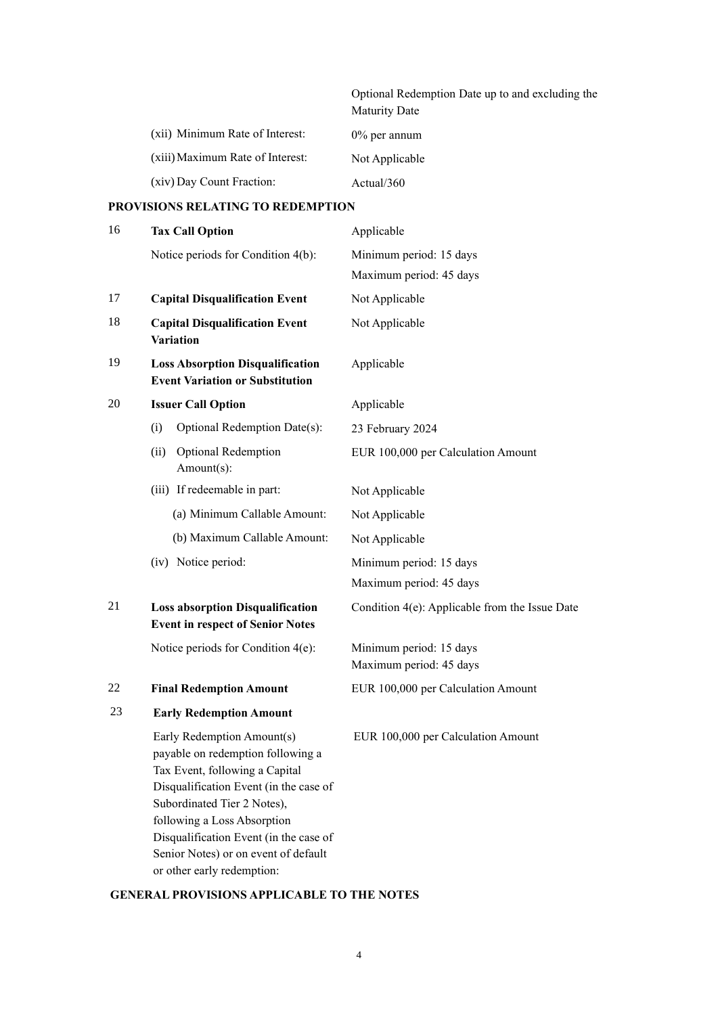|                                  | Optional Redemption Date up to and excluding the<br><b>Maturity Date</b> |
|----------------------------------|--------------------------------------------------------------------------|
| (xii) Minimum Rate of Interest:  | $0\%$ per annum                                                          |
| (xiii) Maximum Rate of Interest: | Not Applicable                                                           |
| (xiv) Day Count Fraction:        | Actual/360                                                               |

# **PROVISIONS RELATING TO REDEMPTION**

| 16 | <b>Tax Call Option</b>                                                                                                                                                                                                                                                                      | Applicable                                         |
|----|---------------------------------------------------------------------------------------------------------------------------------------------------------------------------------------------------------------------------------------------------------------------------------------------|----------------------------------------------------|
|    | Notice periods for Condition 4(b):                                                                                                                                                                                                                                                          | Minimum period: 15 days                            |
|    |                                                                                                                                                                                                                                                                                             | Maximum period: 45 days                            |
| 17 | <b>Capital Disqualification Event</b>                                                                                                                                                                                                                                                       | Not Applicable                                     |
| 18 | <b>Capital Disqualification Event</b><br><b>Variation</b>                                                                                                                                                                                                                                   | Not Applicable                                     |
| 19 | <b>Loss Absorption Disqualification</b><br><b>Event Variation or Substitution</b>                                                                                                                                                                                                           | Applicable                                         |
| 20 | <b>Issuer Call Option</b>                                                                                                                                                                                                                                                                   | Applicable                                         |
|    | (i)<br>Optional Redemption Date(s):                                                                                                                                                                                                                                                         | 23 February 2024                                   |
|    | Optional Redemption<br>(ii)<br>Amount(s):                                                                                                                                                                                                                                                   | EUR 100,000 per Calculation Amount                 |
|    | (iii) If redeemable in part:                                                                                                                                                                                                                                                                | Not Applicable                                     |
|    | (a) Minimum Callable Amount:                                                                                                                                                                                                                                                                | Not Applicable                                     |
|    | (b) Maximum Callable Amount:                                                                                                                                                                                                                                                                | Not Applicable                                     |
|    | (iv) Notice period:                                                                                                                                                                                                                                                                         | Minimum period: 15 days                            |
|    |                                                                                                                                                                                                                                                                                             | Maximum period: 45 days                            |
| 21 | <b>Loss absorption Disqualification</b><br><b>Event in respect of Senior Notes</b>                                                                                                                                                                                                          | Condition 4(e): Applicable from the Issue Date     |
|    | Notice periods for Condition 4(e):                                                                                                                                                                                                                                                          | Minimum period: 15 days<br>Maximum period: 45 days |
| 22 | <b>Final Redemption Amount</b>                                                                                                                                                                                                                                                              | EUR 100,000 per Calculation Amount                 |
| 23 | <b>Early Redemption Amount</b>                                                                                                                                                                                                                                                              |                                                    |
|    | Early Redemption Amount(s)<br>payable on redemption following a<br>Tax Event, following a Capital<br>Disqualification Event (in the case of<br>Subordinated Tier 2 Notes),<br>following a Loss Absorption<br>Disqualification Event (in the case of<br>Senior Notes) or on event of default | EUR 100,000 per Calculation Amount                 |

# **GENERAL PROVISIONS APPLICABLE TO THE NOTES**

or other early redemption: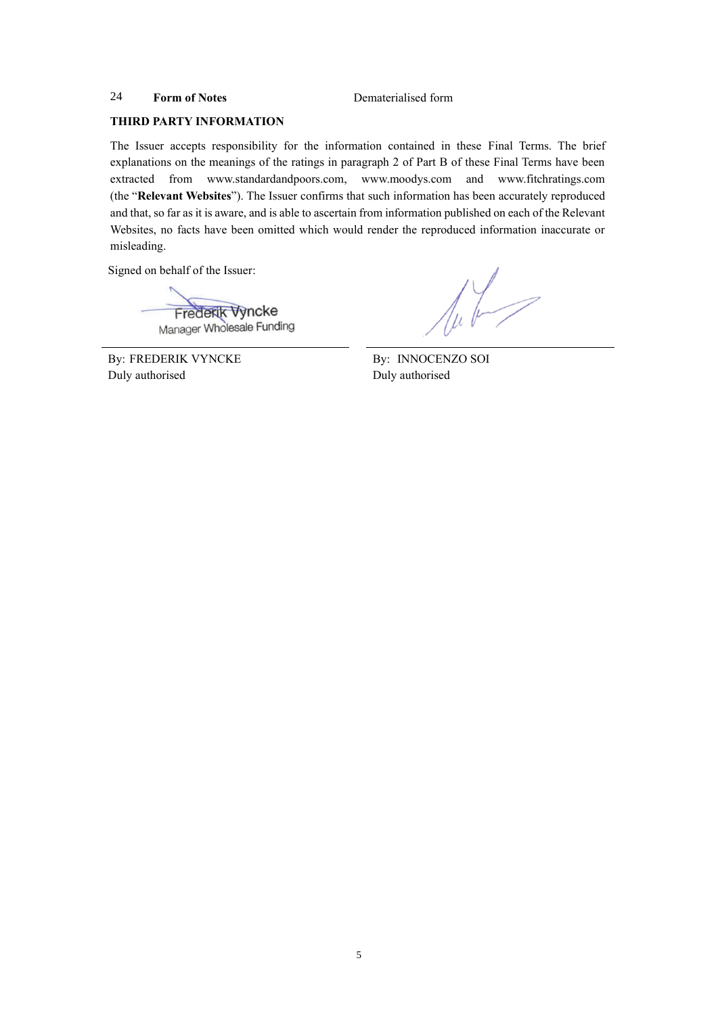#### 24 **Form of Notes** Dematerialised form

#### **THIRD PARTY INFORMATION**

The Issuer accepts responsibility for the information contained in these Final Terms. The brief explanations on the meanings of the ratings in paragraph 2 of Part B of these Final Terms have been extracted from www.standardandpoors.com, www.moodys.com and www.fitchratings.com (the "**Relevant Websites**"). The Issuer confirms that such information has been accurately reproduced and that, so far as it is aware, and is able to ascertain from information published on each of the Relevant Websites, no facts have been omitted which would render the reproduced information inaccurate or misleading.

Signed on behalf of the Issuer:

Frederik Vyncke Manager Wholesale Funding

 $\sqrt{\frac{1}{2}}$ 

By: FREDERIK VYNCKE By: INNOCENZO SOI Duly authorised

By: INNOCENZO SOI Duly authorised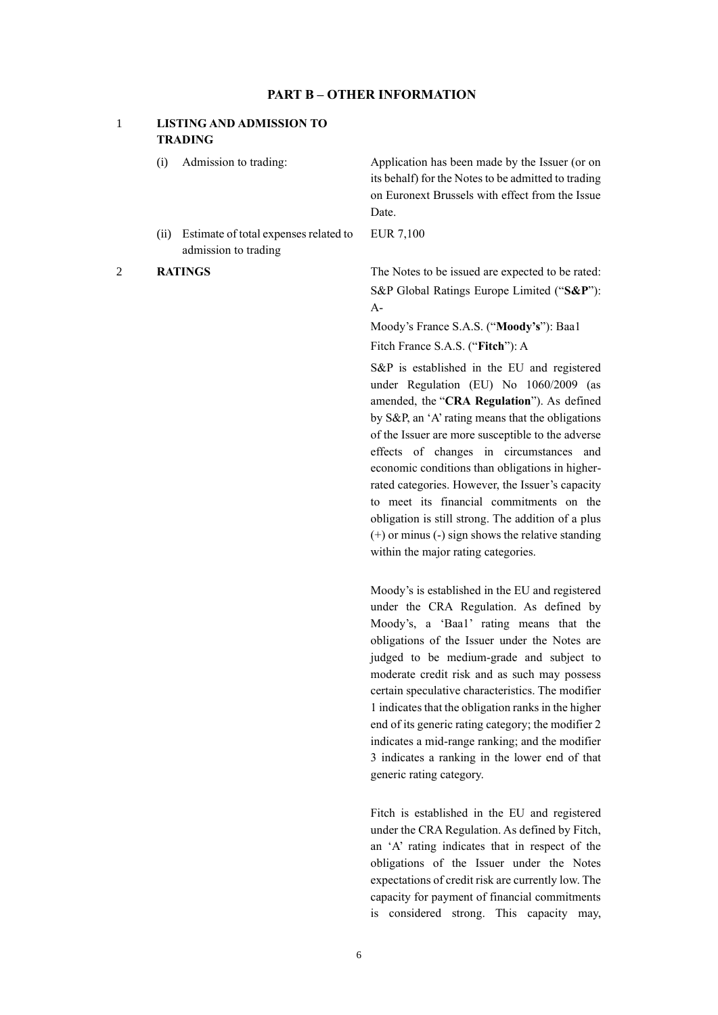#### **PART B – OTHER INFORMATION**

## 1 **LISTING AND ADMISSION TO TRADING**

- 
- (ii) Estimate of total expenses related to admission to trading

(i) Admission to trading: Application has been made by the Issuer (or on its behalf) for the Notes to be admitted to trading on Euronext Brussels with effect from the Issue Date.

EUR 7,100

2 **RATINGS** The Notes to be issued are expected to be rated: S&P Global Ratings Europe Limited ("**S&P**"):  $A-$ 

> Moody's France S.A.S. ("**Moody's**"): Baa1 Fitch France S.A.S. ("**Fitch**"): A

S&P is established in the EU and registered under Regulation (EU) No 1060/2009 (as amended, the "**CRA Regulation**"). As defined by S&P, an 'A' rating means that the obligations of the Issuer are more susceptible to the adverse effects of changes in circumstances and economic conditions than obligations in higherrated categories. However, the Issuer's capacity to meet its financial commitments on the obligation is still strong. The addition of a plus (+) or minus (-) sign shows the relative standing within the major rating categories.

Moody's is established in the EU and registered under the CRA Regulation. As defined by Moody's, a 'Baa1' rating means that the obligations of the Issuer under the Notes are judged to be medium-grade and subject to moderate credit risk and as such may possess certain speculative characteristics. The modifier 1 indicates that the obligation ranks in the higher end of its generic rating category; the modifier 2 indicates a mid-range ranking; and the modifier 3 indicates a ranking in the lower end of that generic rating category.

Fitch is established in the EU and registered under the CRA Regulation. As defined by Fitch, an 'A' rating indicates that in respect of the obligations of the Issuer under the Notes expectations of credit risk are currently low. The capacity for payment of financial commitments is considered strong. This capacity may,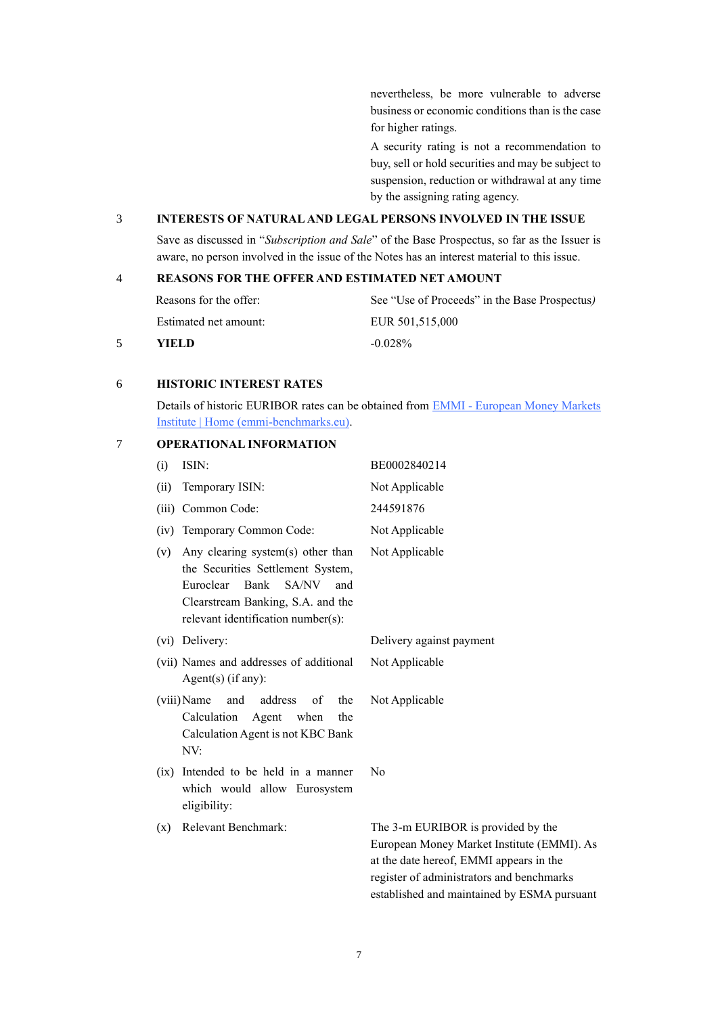nevertheless, be more vulnerable to adverse business or economic conditions than is the case for higher ratings.

A security rating is not a recommendation to buy, sell or hold securities and may be subject to suspension, reduction or withdrawal at any time by the assigning rating agency.

# 3 **INTERESTS OF NATURAL AND LEGAL PERSONS INVOLVED IN THE ISSUE**

Save as discussed in "*Subscription and Sale*" of the Base Prospectus, so far as the Issuer is aware, no person involved in the issue of the Notes has an interest material to this issue.

## 4 **REASONS FOR THE OFFER AND ESTIMATED NET AMOUNT**

| Reasons for the offer: | See "Use of Proceeds" in the Base Prospectus) |
|------------------------|-----------------------------------------------|
| Estimated net amount:  | EUR 501.515.000                               |
| VIEL D                 | $-0.028\%$                                    |

#### 6 **HISTORIC INTEREST RATES**

Details of historic EURIBOR rates can be obtained from EMMI - [European Money Markets](https://www.emmi-benchmarks.eu/emmi/)  [Institute | Home \(emmi-benchmarks.eu\).](https://www.emmi-benchmarks.eu/emmi/)

# 7 **OPERATIONAL INFORMATION**

| (i)   | ISIN:                                                                                                                                                                                  | BE0002840214                                                                                                                                                                                                            |
|-------|----------------------------------------------------------------------------------------------------------------------------------------------------------------------------------------|-------------------------------------------------------------------------------------------------------------------------------------------------------------------------------------------------------------------------|
| (ii)  | Temporary ISIN:                                                                                                                                                                        | Not Applicable                                                                                                                                                                                                          |
| (iii) | Common Code:                                                                                                                                                                           | 244591876                                                                                                                                                                                                               |
| (iv)  | Temporary Common Code:                                                                                                                                                                 | Not Applicable                                                                                                                                                                                                          |
| (v)   | Any clearing system(s) other than<br>the Securities Settlement System,<br>Euroclear<br>Bank<br>SA/NV<br>and<br>Clearstream Banking, S.A. and the<br>relevant identification number(s): | Not Applicable                                                                                                                                                                                                          |
| (vi)  | Delivery:                                                                                                                                                                              | Delivery against payment                                                                                                                                                                                                |
|       | (vii) Names and addresses of additional<br>$Agent(s)$ (if any):                                                                                                                        | Not Applicable                                                                                                                                                                                                          |
|       | address<br>(viii) Name<br>and<br>of<br>the<br>Calculation<br>Agent<br>when<br>the<br>Calculation Agent is not KBC Bank<br>NV:                                                          | Not Applicable                                                                                                                                                                                                          |
| (ix)  | Intended to be held in a manner<br>which would allow Eurosystem<br>eligibility:                                                                                                        | No                                                                                                                                                                                                                      |
| (x)   | Relevant Benchmark:                                                                                                                                                                    | The 3-m EURIBOR is provided by the<br>European Money Market Institute (EMMI). As<br>at the date hereof, EMMI appears in the<br>register of administrators and benchmarks<br>established and maintained by ESMA pursuant |